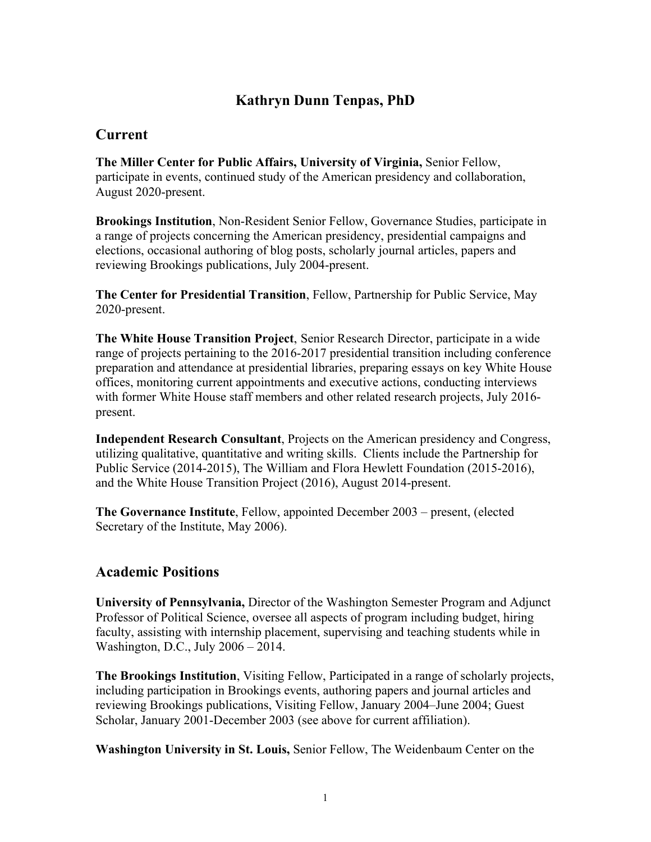# **Kathryn Dunn Tenpas, PhD**

## **Current**

**The Miller Center for Public Affairs, University of Virginia,** Senior Fellow, participate in events, continued study of the American presidency and collaboration, August 2020-present.

**Brookings Institution**, Non-Resident Senior Fellow, Governance Studies, participate in a range of projects concerning the American presidency, presidential campaigns and elections, occasional authoring of blog posts, scholarly journal articles, papers and reviewing Brookings publications, July 2004-present.

**The Center for Presidential Transition**, Fellow, Partnership for Public Service, May 2020-present.

**The White House Transition Project**, Senior Research Director, participate in a wide range of projects pertaining to the 2016-2017 presidential transition including conference preparation and attendance at presidential libraries, preparing essays on key White House offices, monitoring current appointments and executive actions, conducting interviews with former White House staff members and other related research projects, July 2016 present.

**Independent Research Consultant**, Projects on the American presidency and Congress, utilizing qualitative, quantitative and writing skills. Clients include the Partnership for Public Service (2014-2015), The William and Flora Hewlett Foundation (2015-2016), and the White House Transition Project (2016), August 2014-present.

**The Governance Institute**, Fellow, appointed December 2003 – present, (elected Secretary of the Institute, May 2006).

## **Academic Positions**

**University of Pennsylvania,** Director of the Washington Semester Program and Adjunct Professor of Political Science, oversee all aspects of program including budget, hiring faculty, assisting with internship placement, supervising and teaching students while in Washington, D.C., July 2006 – 2014.

**The Brookings Institution**, Visiting Fellow, Participated in a range of scholarly projects, including participation in Brookings events, authoring papers and journal articles and reviewing Brookings publications, Visiting Fellow, January 2004–June 2004; Guest Scholar, January 2001-December 2003 (see above for current affiliation).

**Washington University in St. Louis,** Senior Fellow, The Weidenbaum Center on the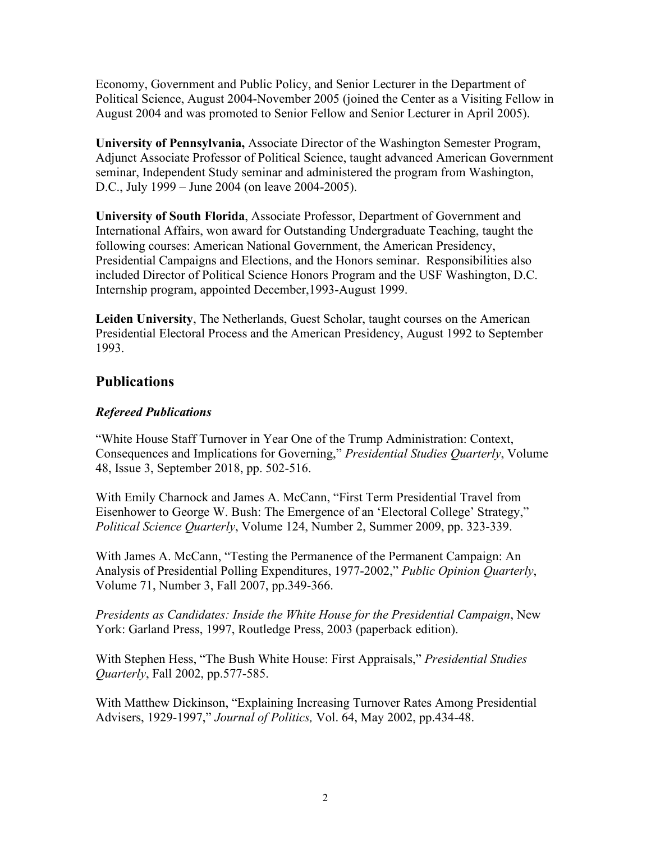Economy, Government and Public Policy, and Senior Lecturer in the Department of Political Science, August 2004-November 2005 (joined the Center as a Visiting Fellow in August 2004 and was promoted to Senior Fellow and Senior Lecturer in April 2005).

**University of Pennsylvania,** Associate Director of the Washington Semester Program, Adjunct Associate Professor of Political Science, taught advanced American Government seminar, Independent Study seminar and administered the program from Washington, D.C., July 1999 – June 2004 (on leave 2004-2005).

**University of South Florida**, Associate Professor, Department of Government and International Affairs, won award for Outstanding Undergraduate Teaching, taught the following courses: American National Government, the American Presidency, Presidential Campaigns and Elections, and the Honors seminar. Responsibilities also included Director of Political Science Honors Program and the USF Washington, D.C. Internship program, appointed December,1993-August 1999.

**Leiden University**, The Netherlands, Guest Scholar, taught courses on the American Presidential Electoral Process and the American Presidency, August 1992 to September 1993.

## **Publications**

#### *Refereed Publications*

"White House Staff Turnover in Year One of the Trump Administration: Context, Consequences and Implications for Governing," *Presidential Studies Quarterly*, Volume 48, Issue 3, September 2018, pp. 502-516.

With Emily Charnock and James A. McCann, "First Term Presidential Travel from Eisenhower to George W. Bush: The Emergence of an 'Electoral College' Strategy," *Political Science Quarterly*, Volume 124, Number 2, Summer 2009, pp. 323-339.

With James A. McCann, "Testing the Permanence of the Permanent Campaign: An Analysis of Presidential Polling Expenditures, 1977-2002," *Public Opinion Quarterly*, Volume 71, Number 3, Fall 2007, pp.349-366.

*Presidents as Candidates: Inside the White House for the Presidential Campaign*, New York: Garland Press, 1997, Routledge Press, 2003 (paperback edition).

With Stephen Hess, "The Bush White House: First Appraisals," *Presidential Studies Quarterly*, Fall 2002, pp.577-585.

With Matthew Dickinson, "Explaining Increasing Turnover Rates Among Presidential Advisers, 1929-1997," *Journal of Politics,* Vol. 64, May 2002, pp.434-48.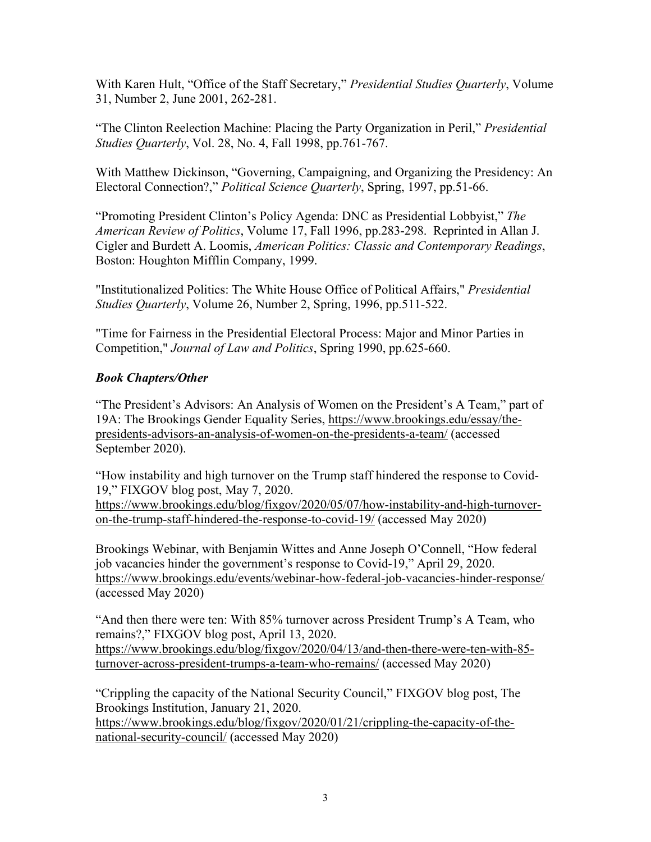With Karen Hult, "Office of the Staff Secretary," *Presidential Studies Quarterly*, Volume 31, Number 2, June 2001, 262-281.

"The Clinton Reelection Machine: Placing the Party Organization in Peril," *Presidential Studies Quarterly*, Vol. 28, No. 4, Fall 1998, pp.761-767.

With Matthew Dickinson, "Governing, Campaigning, and Organizing the Presidency: An Electoral Connection?," *Political Science Quarterly*, Spring, 1997, pp.51-66.

"Promoting President Clinton's Policy Agenda: DNC as Presidential Lobbyist," *The American Review of Politics*, Volume 17, Fall 1996, pp.283-298. Reprinted in Allan J. Cigler and Burdett A. Loomis, *American Politics: Classic and Contemporary Readings*, Boston: Houghton Mifflin Company, 1999.

"Institutionalized Politics: The White House Office of Political Affairs," *Presidential Studies Quarterly*, Volume 26, Number 2, Spring, 1996, pp.511-522.

"Time for Fairness in the Presidential Electoral Process: Major and Minor Parties in Competition," *Journal of Law and Politics*, Spring 1990, pp.625-660.

#### *Book Chapters/Other*

"The President's Advisors: An Analysis of Women on the President's A Team," part of 19A: The Brookings Gender Equality Series, [https://www.brookings.edu/essay/the](https://www.brookings.edu/essay/the-presidents-advisors-an-analysis-of-women-on-the-presidents-a-team/)[presidents-advisors-an-analysis-of-women-on-the-presidents-a-team/](https://www.brookings.edu/essay/the-presidents-advisors-an-analysis-of-women-on-the-presidents-a-team/) (accessed September 2020).

"How instability and high turnover on the Trump staff hindered the response to Covid-19," FIXGOV blog post, May 7, 2020.

[https://www.brookings.edu/blog/fixgov/2020/05/07/how-instability-and-high-turnover](https://www.brookings.edu/blog/fixgov/2020/05/07/how-instability-and-high-turnover-on-the-trump-staff-hindered-the-response-to-covid-19/)[on-the-trump-staff-hindered-the-response-to-covid-19/](https://www.brookings.edu/blog/fixgov/2020/05/07/how-instability-and-high-turnover-on-the-trump-staff-hindered-the-response-to-covid-19/) (accessed May 2020)

Brookings Webinar, with Benjamin Wittes and Anne Joseph O'Connell, "How federal job vacancies hinder the government's response to Covid-19," April 29, 2020. <https://www.brookings.edu/events/webinar-how-federal-job-vacancies-hinder-response/> (accessed May 2020)

"And then there were ten: With 85% turnover across President Trump's A Team, who remains?," FIXGOV blog post, April 13, 2020. [https://www.brookings.edu/blog/fixgov/2020/04/13/and-then-there-were-ten-with-85](https://www.brookings.edu/blog/fixgov/2020/04/13/and-then-there-were-ten-with-85-turnover-across-president-trumps-a-team-who-remains/) [turnover-across-president-trumps-a-team-who-remains/](https://www.brookings.edu/blog/fixgov/2020/04/13/and-then-there-were-ten-with-85-turnover-across-president-trumps-a-team-who-remains/) (accessed May 2020)

"Crippling the capacity of the National Security Council," FIXGOV blog post, The Brookings Institution, January 21, 2020. [https://www.brookings.edu/blog/fixgov/2020/01/21/crippling-the-capacity-of-the](https://www.brookings.edu/blog/fixgov/2020/01/21/crippling-the-capacity-of-the-national-security-council/)[national-security-council/](https://www.brookings.edu/blog/fixgov/2020/01/21/crippling-the-capacity-of-the-national-security-council/) (accessed May 2020)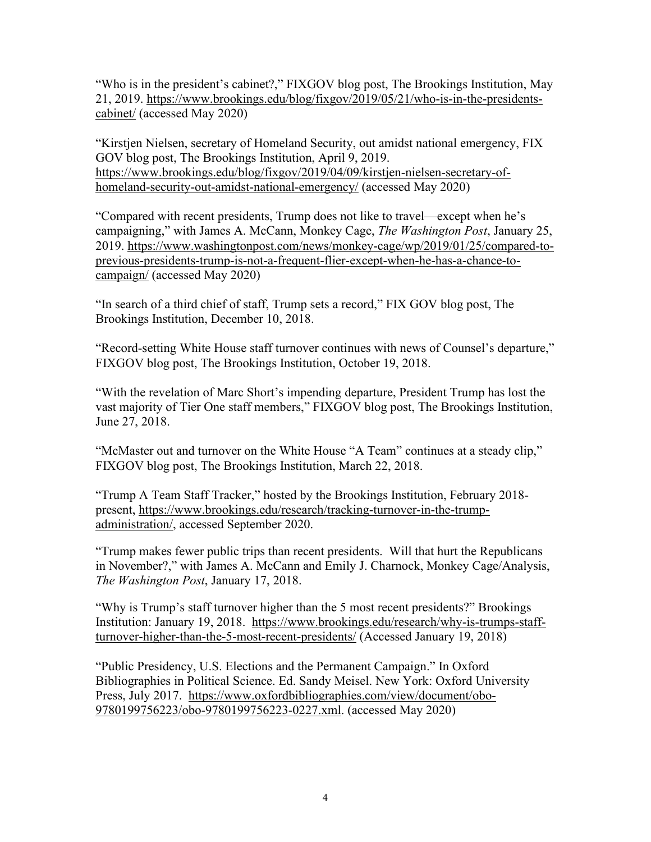"Who is in the president's cabinet?," FIXGOV blog post, The Brookings Institution, May 21, 2019. [https://www.brookings.edu/blog/fixgov/2019/05/21/who-is-in-the-presidents](https://www.brookings.edu/blog/fixgov/2019/05/21/who-is-in-the-presidents-cabinet/)[cabinet/](https://www.brookings.edu/blog/fixgov/2019/05/21/who-is-in-the-presidents-cabinet/) (accessed May 2020)

"Kirstjen Nielsen, secretary of Homeland Security, out amidst national emergency, FIX GOV blog post, The Brookings Institution, April 9, 2019. [https://www.brookings.edu/blog/fixgov/2019/04/09/kirstjen-nielsen-secretary-of](https://www.brookings.edu/blog/fixgov/2019/04/09/kirstjen-nielsen-secretary-of-homeland-security-out-amidst-national-emergency/)[homeland-security-out-amidst-national-emergency/](https://www.brookings.edu/blog/fixgov/2019/04/09/kirstjen-nielsen-secretary-of-homeland-security-out-amidst-national-emergency/) (accessed May 2020)

"Compared with recent presidents, Trump does not like to travel—except when he's campaigning," with James A. McCann, Monkey Cage, *The Washington Post*, January 25, 2019. [https://www.washingtonpost.com/news/monkey-cage/wp/2019/01/25/compared-to](https://www.washingtonpost.com/news/monkey-cage/wp/2019/01/25/compared-to-previous-presidents-trump-is-not-a-frequent-flier-except-when-he-has-a-chance-to-campaign/)[previous-presidents-trump-is-not-a-frequent-flier-except-when-he-has-a-chance-to](https://www.washingtonpost.com/news/monkey-cage/wp/2019/01/25/compared-to-previous-presidents-trump-is-not-a-frequent-flier-except-when-he-has-a-chance-to-campaign/)[campaign/](https://www.washingtonpost.com/news/monkey-cage/wp/2019/01/25/compared-to-previous-presidents-trump-is-not-a-frequent-flier-except-when-he-has-a-chance-to-campaign/) (accessed May 2020)

"In search of a third chief of staff, Trump sets a record," FIX GOV blog post, The Brookings Institution, December 10, 2018.

"Record-setting White House staff turnover continues with news of Counsel's departure," FIXGOV blog post, The Brookings Institution, October 19, 2018.

"With the revelation of Marc Short's impending departure, President Trump has lost the vast majority of Tier One staff members," FIXGOV blog post, The Brookings Institution, June 27, 2018.

"McMaster out and turnover on the White House "A Team" continues at a steady clip," FIXGOV blog post, The Brookings Institution, March 22, 2018.

"Trump A Team Staff Tracker," hosted by the Brookings Institution, February 2018 present, [https://www.brookings.edu/research/tracking-turnover-in-the-trump](https://www.brookings.edu/research/tracking-turnover-in-the-trump-administration/)[administration/,](https://www.brookings.edu/research/tracking-turnover-in-the-trump-administration/) accessed September 2020.

"Trump makes fewer public trips than recent presidents. Will that hurt the Republicans in November?," with James A. McCann and Emily J. Charnock, Monkey Cage/Analysis, *The Washington Post*, January 17, 2018.

"Why is Trump's staff turnover higher than the 5 most recent presidents?" Brookings Institution: January 19, 2018. [https://www.brookings.edu/research/why-is-trumps-staff](https://www.brookings.edu/research/why-is-trumps-staff-turnover-higher-than-the-5-most-recent-presidents/)[turnover-higher-than-the-5-most-recent-presidents/](https://www.brookings.edu/research/why-is-trumps-staff-turnover-higher-than-the-5-most-recent-presidents/) (Accessed January 19, 2018)

"Public Presidency, U.S. Elections and the Permanent Campaign." In Oxford Bibliographies in Political Science. Ed. Sandy Meisel. New York: Oxford University Press, July 2017. [https://www.oxfordbibliographies.com/view/document/obo-](https://www.oxfordbibliographies.com/view/document/obo-9780199756223/obo-9780199756223-0227.xml)[9780199756223/obo-9780199756223-0227.xml.](https://www.oxfordbibliographies.com/view/document/obo-9780199756223/obo-9780199756223-0227.xml) (accessed May 2020)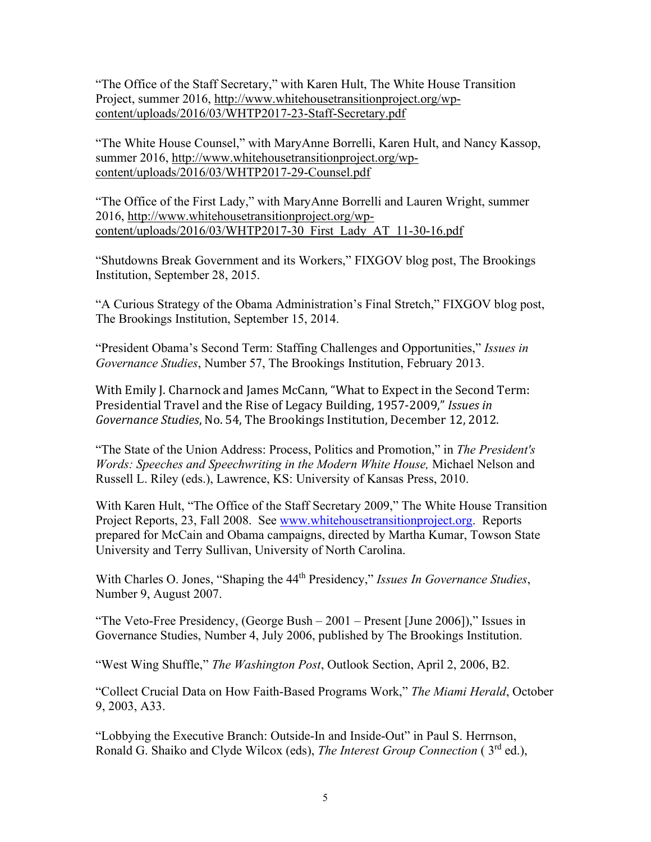"The Office of the Staff Secretary," with Karen Hult, The White House Transition Project, summer 2016, [http://www.whitehousetransitionproject.org/wp](http://www.whitehousetransitionproject.org/wp-content/uploads/2016/03/WHTP2017-23-Staff-Secretary.pdf)[content/uploads/2016/03/WHTP2017-23-Staff-Secretary.pdf](http://www.whitehousetransitionproject.org/wp-content/uploads/2016/03/WHTP2017-23-Staff-Secretary.pdf)

"The White House Counsel," with MaryAnne Borrelli, Karen Hult, and Nancy Kassop, summer 2016, [http://www.whitehousetransitionproject.org/wp](http://www.whitehousetransitionproject.org/wp-content/uploads/2016/03/WHTP2017-29-Counsel.pdf)[content/uploads/2016/03/WHTP2017-29-Counsel.pdf](http://www.whitehousetransitionproject.org/wp-content/uploads/2016/03/WHTP2017-29-Counsel.pdf)

"The Office of the First Lady," with MaryAnne Borrelli and Lauren Wright, summer 2016, [http://www.whitehousetransitionproject.org/wp](http://www.whitehousetransitionproject.org/wp-content/uploads/2016/03/WHTP2017-30_First_Lady_AT_11-30-16.pdf)[content/uploads/2016/03/WHTP2017-30\\_First\\_Lady\\_AT\\_11-30-16.pdf](http://www.whitehousetransitionproject.org/wp-content/uploads/2016/03/WHTP2017-30_First_Lady_AT_11-30-16.pdf)

"Shutdowns Break Government and its Workers," FIXGOV blog post, The Brookings Institution, September 28, 2015.

"A Curious Strategy of the Obama Administration's Final Stretch," FIXGOV blog post, The Brookings Institution, September 15, 2014.

"President Obama's Second Term: Staffing Challenges and Opportunities," *Issues in Governance Studies*, Number 57, The Brookings Institution, February 2013.

With Emily J. Charnock and James McCann, "What to Expect in the Second Term: Presidential Travel and the Rise of Legacy Building, 1957-2009," *Issues in Governance Studies*, No. 54, The Brookings Institution, December 12, 2012.

"The State of the Union Address: Process, Politics and Promotion," in *The President's Words: Speeches and Speechwriting in the Modern White House,* Michael Nelson and Russell L. Riley (eds.), Lawrence, KS: University of Kansas Press, 2010.

With Karen Hult, "The Office of the Staff Secretary 2009," The White House Transition Project Reports, 23, Fall 2008. See [www.whitehousetransitionproject.org.](http://www.whitehousetransitionproject.org/) Reports prepared for McCain and Obama campaigns, directed by Martha Kumar, Towson State University and Terry Sullivan, University of North Carolina.

With Charles O. Jones, "Shaping the 44th Presidency," *Issues In Governance Studies*, Number 9, August 2007.

"The Veto-Free Presidency, (George Bush – 2001 – Present [June 2006])," Issues in Governance Studies, Number 4, July 2006, published by The Brookings Institution.

"West Wing Shuffle," *The Washington Post*, Outlook Section, April 2, 2006, B2.

"Collect Crucial Data on How Faith-Based Programs Work," *The Miami Herald*, October 9, 2003, A33.

"Lobbying the Executive Branch: Outside-In and Inside-Out" in Paul S. Herrnson, Ronald G. Shaiko and Clyde Wilcox (eds), *The Interest Group Connection* ( 3rd ed.),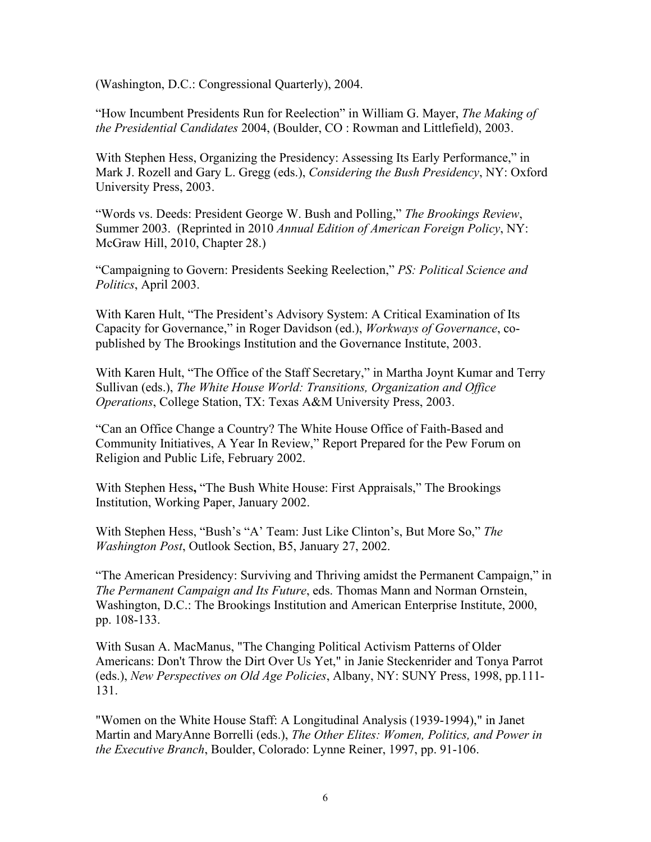(Washington, D.C.: Congressional Quarterly), 2004.

"How Incumbent Presidents Run for Reelection" in William G. Mayer, *The Making of the Presidential Candidates* 2004, (Boulder, CO : Rowman and Littlefield), 2003.

With Stephen Hess, Organizing the Presidency: Assessing Its Early Performance," in Mark J. Rozell and Gary L. Gregg (eds.), *Considering the Bush Presidency*, NY: Oxford University Press, 2003.

"Words vs. Deeds: President George W. Bush and Polling," *The Brookings Review*, Summer 2003. (Reprinted in 2010 *Annual Edition of American Foreign Policy*, NY: McGraw Hill, 2010, Chapter 28.)

"Campaigning to Govern: Presidents Seeking Reelection," *PS: Political Science and Politics*, April 2003.

With Karen Hult, "The President's Advisory System: A Critical Examination of Its Capacity for Governance," in Roger Davidson (ed.), *Workways of Governance*, copublished by The Brookings Institution and the Governance Institute, 2003.

With Karen Hult, "The Office of the Staff Secretary," in Martha Joynt Kumar and Terry Sullivan (eds.), *The White House World: Transitions, Organization and Office Operations*, College Station, TX: Texas A&M University Press, 2003.

"Can an Office Change a Country? The White House Office of Faith-Based and Community Initiatives, A Year In Review," Report Prepared for the Pew Forum on Religion and Public Life, February 2002.

With Stephen Hess**,** "The Bush White House: First Appraisals," The Brookings Institution, Working Paper, January 2002.

With Stephen Hess, "Bush's "A' Team: Just Like Clinton's, But More So," *The Washington Post*, Outlook Section, B5, January 27, 2002.

"The American Presidency: Surviving and Thriving amidst the Permanent Campaign," in *The Permanent Campaign and Its Future*, eds. Thomas Mann and Norman Ornstein, Washington, D.C.: The Brookings Institution and American Enterprise Institute, 2000, pp. 108-133.

With Susan A. MacManus, "The Changing Political Activism Patterns of Older Americans: Don't Throw the Dirt Over Us Yet," in Janie Steckenrider and Tonya Parrot (eds.), *New Perspectives on Old Age Policies*, Albany, NY: SUNY Press, 1998, pp.111- 131.

"Women on the White House Staff: A Longitudinal Analysis (1939-1994)," in Janet Martin and MaryAnne Borrelli (eds.), *The Other Elites: Women, Politics, and Power in the Executive Branch*, Boulder, Colorado: Lynne Reiner, 1997, pp. 91-106.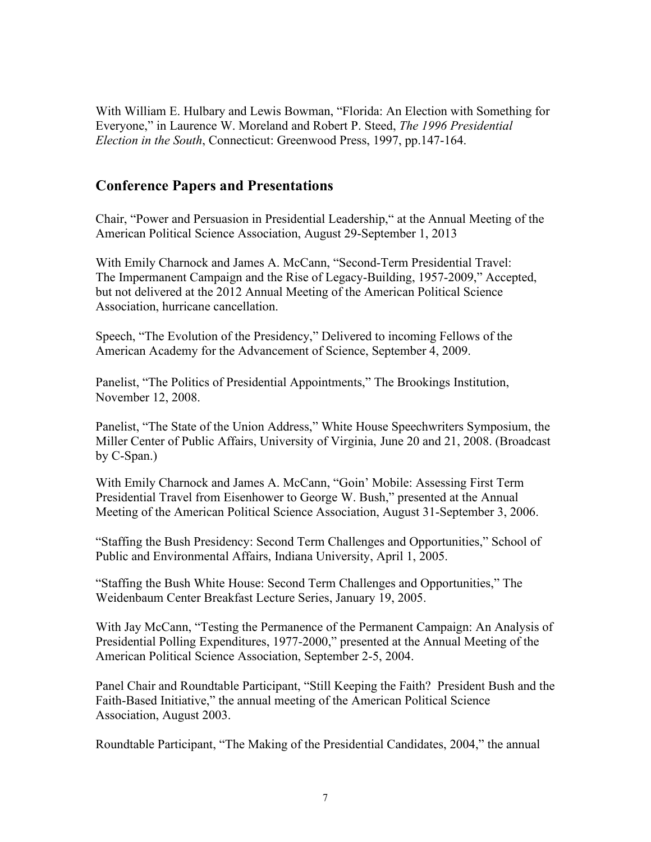With William E. Hulbary and Lewis Bowman, "Florida: An Election with Something for Everyone," in Laurence W. Moreland and Robert P. Steed, *The 1996 Presidential Election in the South*, Connecticut: Greenwood Press, 1997, pp.147-164.

### **Conference Papers and Presentations**

Chair, "Power and Persuasion in Presidential Leadership," at the Annual Meeting of the American Political Science Association, August 29-September 1, 2013

With Emily Charnock and James A. McCann, "Second-Term Presidential Travel: The Impermanent Campaign and the Rise of Legacy-Building, 1957-2009," Accepted, but not delivered at the 2012 Annual Meeting of the American Political Science Association, hurricane cancellation.

Speech, "The Evolution of the Presidency," Delivered to incoming Fellows of the American Academy for the Advancement of Science, September 4, 2009.

Panelist, "The Politics of Presidential Appointments," The Brookings Institution, November 12, 2008.

Panelist, "The State of the Union Address," White House Speechwriters Symposium, the Miller Center of Public Affairs, University of Virginia, June 20 and 21, 2008. (Broadcast by C-Span.)

With Emily Charnock and James A. McCann, "Goin' Mobile: Assessing First Term Presidential Travel from Eisenhower to George W. Bush," presented at the Annual Meeting of the American Political Science Association, August 31-September 3, 2006.

"Staffing the Bush Presidency: Second Term Challenges and Opportunities," School of Public and Environmental Affairs, Indiana University, April 1, 2005.

"Staffing the Bush White House: Second Term Challenges and Opportunities," The Weidenbaum Center Breakfast Lecture Series, January 19, 2005.

With Jay McCann, "Testing the Permanence of the Permanent Campaign: An Analysis of Presidential Polling Expenditures, 1977-2000," presented at the Annual Meeting of the American Political Science Association, September 2-5, 2004.

Panel Chair and Roundtable Participant, "Still Keeping the Faith? President Bush and the Faith-Based Initiative," the annual meeting of the American Political Science Association, August 2003.

Roundtable Participant, "The Making of the Presidential Candidates, 2004," the annual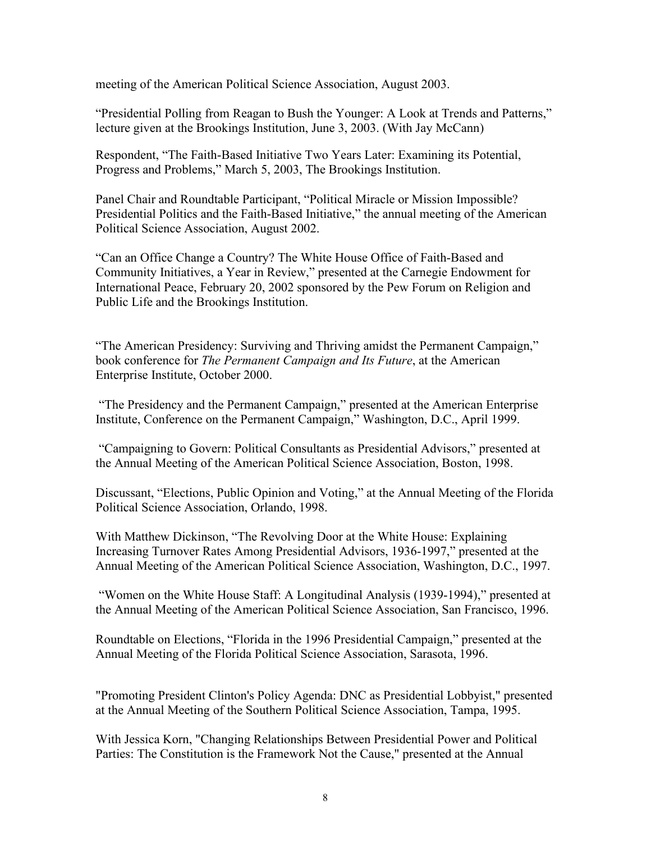meeting of the American Political Science Association, August 2003.

"Presidential Polling from Reagan to Bush the Younger: A Look at Trends and Patterns," lecture given at the Brookings Institution, June 3, 2003. (With Jay McCann)

Respondent, "The Faith-Based Initiative Two Years Later: Examining its Potential, Progress and Problems," March 5, 2003, The Brookings Institution.

Panel Chair and Roundtable Participant, "Political Miracle or Mission Impossible? Presidential Politics and the Faith-Based Initiative," the annual meeting of the American Political Science Association, August 2002.

"Can an Office Change a Country? The White House Office of Faith-Based and Community Initiatives, a Year in Review," presented at the Carnegie Endowment for International Peace, February 20, 2002 sponsored by the Pew Forum on Religion and Public Life and the Brookings Institution.

"The American Presidency: Surviving and Thriving amidst the Permanent Campaign," book conference for *The Permanent Campaign and Its Future*, at the American Enterprise Institute, October 2000.

"The Presidency and the Permanent Campaign," presented at the American Enterprise Institute, Conference on the Permanent Campaign," Washington, D.C., April 1999.

"Campaigning to Govern: Political Consultants as Presidential Advisors," presented at the Annual Meeting of the American Political Science Association, Boston, 1998.

Discussant, "Elections, Public Opinion and Voting," at the Annual Meeting of the Florida Political Science Association, Orlando, 1998.

With Matthew Dickinson, "The Revolving Door at the White House: Explaining Increasing Turnover Rates Among Presidential Advisors, 1936-1997," presented at the Annual Meeting of the American Political Science Association, Washington, D.C., 1997.

"Women on the White House Staff: A Longitudinal Analysis (1939-1994)," presented at the Annual Meeting of the American Political Science Association, San Francisco, 1996.

Roundtable on Elections, "Florida in the 1996 Presidential Campaign," presented at the Annual Meeting of the Florida Political Science Association, Sarasota, 1996.

"Promoting President Clinton's Policy Agenda: DNC as Presidential Lobbyist," presented at the Annual Meeting of the Southern Political Science Association, Tampa, 1995.

With Jessica Korn, "Changing Relationships Between Presidential Power and Political Parties: The Constitution is the Framework Not the Cause," presented at the Annual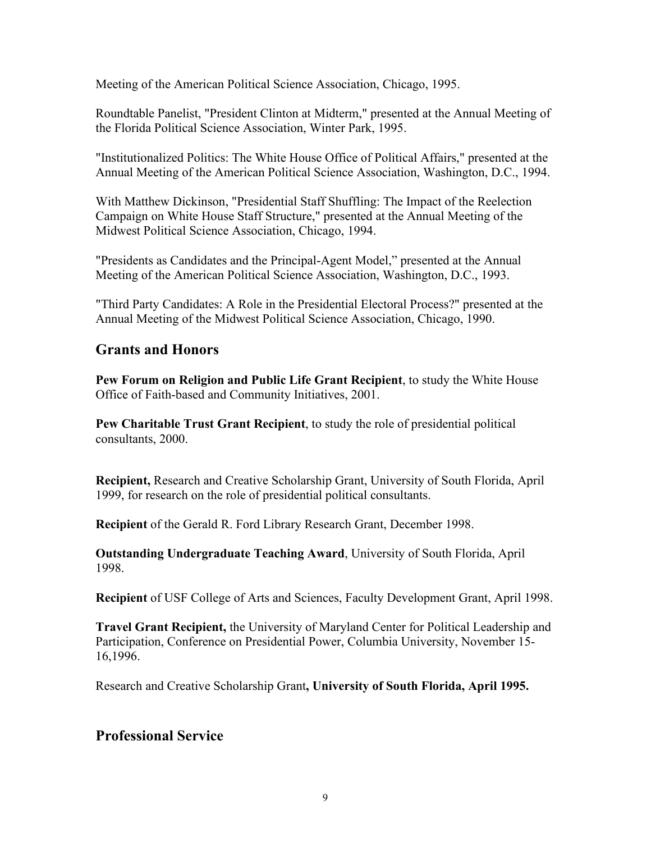Meeting of the American Political Science Association, Chicago, 1995.

Roundtable Panelist, "President Clinton at Midterm," presented at the Annual Meeting of the Florida Political Science Association, Winter Park, 1995.

"Institutionalized Politics: The White House Office of Political Affairs," presented at the Annual Meeting of the American Political Science Association, Washington, D.C., 1994.

With Matthew Dickinson, "Presidential Staff Shuffling: The Impact of the Reelection Campaign on White House Staff Structure," presented at the Annual Meeting of the Midwest Political Science Association, Chicago, 1994.

"Presidents as Candidates and the Principal-Agent Model," presented at the Annual Meeting of the American Political Science Association, Washington, D.C., 1993.

"Third Party Candidates: A Role in the Presidential Electoral Process?" presented at the Annual Meeting of the Midwest Political Science Association, Chicago, 1990.

### **Grants and Honors**

**Pew Forum on Religion and Public Life Grant Recipient**, to study the White House Office of Faith-based and Community Initiatives, 2001.

**Pew Charitable Trust Grant Recipient**, to study the role of presidential political consultants, 2000.

**Recipient,** Research and Creative Scholarship Grant, University of South Florida, April 1999, for research on the role of presidential political consultants.

**Recipient** of the Gerald R. Ford Library Research Grant, December 1998.

**Outstanding Undergraduate Teaching Award**, University of South Florida, April 1998.

**Recipient** of USF College of Arts and Sciences, Faculty Development Grant, April 1998.

**Travel Grant Recipient,** the University of Maryland Center for Political Leadership and Participation, Conference on Presidential Power, Columbia University, November 15- 16,1996.

Research and Creative Scholarship Grant**, University of South Florida, April 1995.**

## **Professional Service**